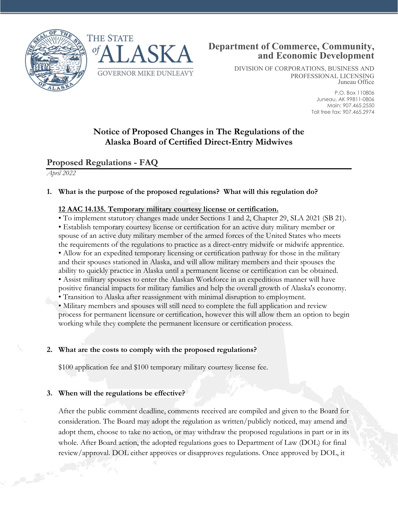



DIVISION OF CORPORATIONS, BUSINESS AND PROFESSIONAL LICENSING Juneau Office

> P.O. Box 110806 Juneau, AK 99811-0806 Main: 907.465.2550 Toll free fax: 907.465.2974

# **Notice of Proposed Changes in The Regulations of the Alaska Board of Certified Direct-Entry Midwives**

## **Proposed Regulations - FAQ**

*April 2022*

### **1. What is the purpose of the proposed regulations? What will this regulation do?**

#### **12 AAC 14.135. Temporary military courtesy license or certification.**

• To implement statutory changes made under Sections 1 and 2, Chapter 29, SLA 2021 (SB 21). • Establish temporary courtesy license or certification for an active duty military member or spouse of an active duty military member of the armed forces of the United States who meets the requirements of the regulations to practice as a direct-entry midwife or midwife apprentice. • Allow for an expedited temporary licensing or certification pathway for those in the military and their spouses stationed in Alaska, and will allow military members and their spouses the ability to quickly practice in Alaska until a permanent license or certification can be obtained. • Assist military spouses to enter the Alaskan Workforce in an expeditious manner will have positive financial impacts for military families and help the overall growth of Alaska's economy. • Transition to Alaska after reassignment with minimal disruption to employment.

• Military members and spouses will still need to complete the full application and review process for permanent licensure or certification, however this will allow them an option to begin working while they complete the permanent licensure or certification process.

#### **2. What are the costs to comply with the proposed regulations?**

\$100 application fee and \$100 temporary military courtesy license fee.

#### **3. When will the regulations be effective?**

After the public comment deadline, comments received are compiled and given to the Board for consideration. The Board may adopt the regulation as written/publicly noticed, may amend and adopt them, choose to take no action, or may withdraw the proposed regulations in part or in its whole. After Board action, the adopted regulations goes to Department of Law (DOL) for final review/approval. DOL either approves or disapproves regulations. Once approved by DOL, it